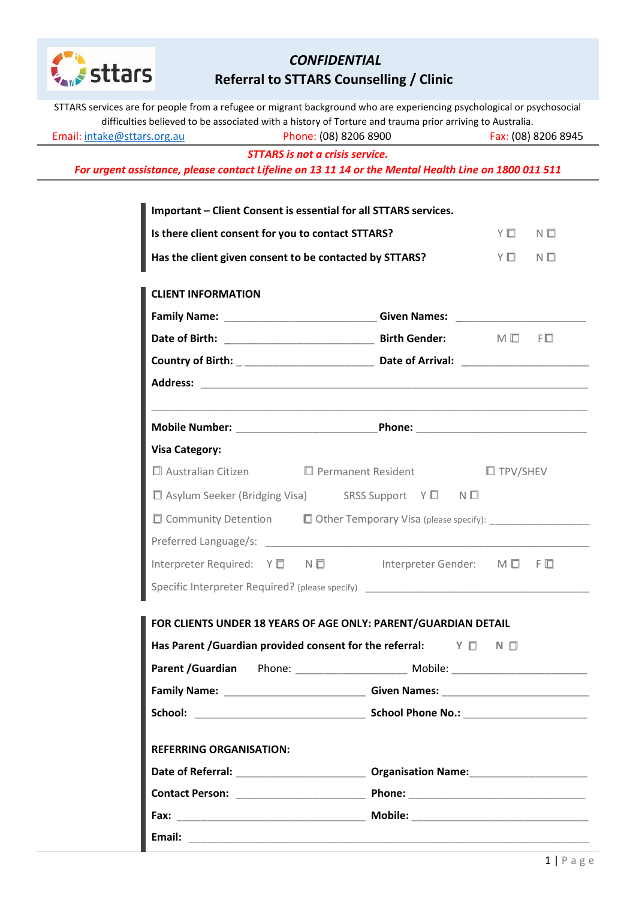

# *CONFIDENTIAL*  **Referral to STTARS Counselling / Clinic**

| STTARS services are for people from a refugee or migrant background who are experiencing psychological or psychosocial<br>difficulties believed to be associated with a history of Torture and trauma prior arriving to Australia. |                                                                                  |
|------------------------------------------------------------------------------------------------------------------------------------------------------------------------------------------------------------------------------------|----------------------------------------------------------------------------------|
| Phone: (08) 8206 8900<br>Email: intake@sttars.org.au                                                                                                                                                                               | Fax: (08) 8206 8945                                                              |
| <b>STTARS</b> is not a crisis service.                                                                                                                                                                                             |                                                                                  |
| For urgent assistance, please contact Lifeline on 13 11 14 or the Mental Health Line on 1800 011 511                                                                                                                               |                                                                                  |
| Important - Client Consent is essential for all STTARS services.                                                                                                                                                                   |                                                                                  |
| Is there client consent for you to contact STTARS?                                                                                                                                                                                 | Y I N I                                                                          |
| Has the client given consent to be contacted by STTARS?                                                                                                                                                                            | YQ NO                                                                            |
| <b>CLIENT INFORMATION</b>                                                                                                                                                                                                          |                                                                                  |
|                                                                                                                                                                                                                                    | Family Name: __________________________________Given Names: ____________________ |
|                                                                                                                                                                                                                                    |                                                                                  |
|                                                                                                                                                                                                                                    |                                                                                  |
|                                                                                                                                                                                                                                    |                                                                                  |
|                                                                                                                                                                                                                                    |                                                                                  |
| <b>Visa Category:</b>                                                                                                                                                                                                              |                                                                                  |
| $\square$ Australian Citizen $\square$ Permanent Resident                                                                                                                                                                          | $\Box$ TPV/SHEV                                                                  |
| □ Asylum Seeker (Bridging Visa) SRSS Support Y □ N □                                                                                                                                                                               |                                                                                  |
|                                                                                                                                                                                                                                    | □ Community Detention □ Other Temporary Visa (please specify): ________________  |
|                                                                                                                                                                                                                                    |                                                                                  |
|                                                                                                                                                                                                                                    | Interpreter Required: Y □ N □   Interpreter Gender: M □ F □                      |
|                                                                                                                                                                                                                                    | Specific Interpreter Required? (please specify) ________________________________ |
| FOR CLIENTS UNDER 18 YEARS OF AGE ONLY: PARENT/GUARDIAN DETAIL                                                                                                                                                                     |                                                                                  |
| Has Parent /Guardian provided consent for the referral: $\forall \Box$                                                                                                                                                             | $N$ $\Box$                                                                       |
|                                                                                                                                                                                                                                    |                                                                                  |
|                                                                                                                                                                                                                                    | Family Name: ________________________________Given Names: ______________________ |
|                                                                                                                                                                                                                                    |                                                                                  |
| <b>REFERRING ORGANISATION:</b>                                                                                                                                                                                                     |                                                                                  |
|                                                                                                                                                                                                                                    |                                                                                  |
|                                                                                                                                                                                                                                    |                                                                                  |
|                                                                                                                                                                                                                                    |                                                                                  |
| Email:                                                                                                                                                                                                                             |                                                                                  |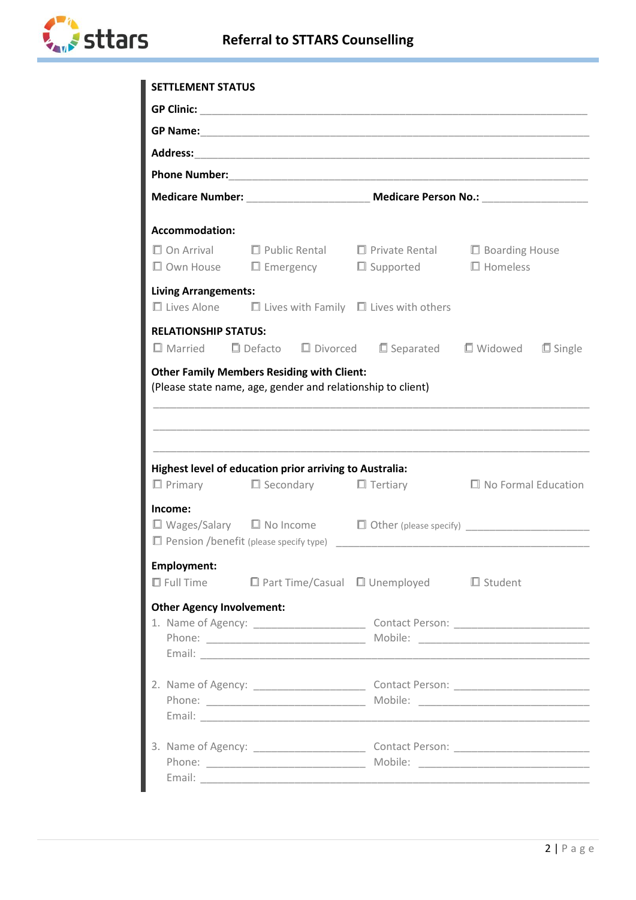

| <b>SETTLEMENT STATUS</b>         |                                                                                                            |                                                                                                                 |                            |  |  |
|----------------------------------|------------------------------------------------------------------------------------------------------------|-----------------------------------------------------------------------------------------------------------------|----------------------------|--|--|
|                                  |                                                                                                            |                                                                                                                 |                            |  |  |
|                                  |                                                                                                            |                                                                                                                 |                            |  |  |
|                                  |                                                                                                            |                                                                                                                 |                            |  |  |
|                                  |                                                                                                            |                                                                                                                 |                            |  |  |
|                                  |                                                                                                            |                                                                                                                 |                            |  |  |
|                                  |                                                                                                            |                                                                                                                 |                            |  |  |
| Accommodation:                   |                                                                                                            |                                                                                                                 |                            |  |  |
|                                  |                                                                                                            | $\Box$ On Arrival $\Box$ Public Rental $\Box$ Private Rental $\Box$ Boarding House                              | $\Box$ Homeless            |  |  |
|                                  |                                                                                                            | $\Box$ Own House $\Box$ Emergency $\Box$ Supported                                                              |                            |  |  |
| <b>Living Arrangements:</b>      |                                                                                                            |                                                                                                                 |                            |  |  |
|                                  |                                                                                                            | $\Box$ Lives Alone $\Box$ Lives with Family $\Box$ Lives with others                                            |                            |  |  |
| <b>RELATIONSHIP STATUS:</b>      |                                                                                                            |                                                                                                                 |                            |  |  |
|                                  |                                                                                                            | $\square$ Married $\square$ Defacto $\square$ Divorced $\square$ Separated $\square$ Widowed $\square$ Single   |                            |  |  |
|                                  | (Please state name, age, gender and relationship to client)                                                |                                                                                                                 |                            |  |  |
|                                  | Highest level of education prior arriving to Australia:<br>$\Box$ Primary $\Box$ Secondary $\Box$ Tertiary |                                                                                                                 | $\Box$ No Formal Education |  |  |
| Income:                          |                                                                                                            |                                                                                                                 |                            |  |  |
|                                  |                                                                                                            | $\square$ Wages/Salary $\square$ No Income $\square$ Other (please specify) ___________________                 |                            |  |  |
| <b>Employment:</b>               |                                                                                                            |                                                                                                                 |                            |  |  |
|                                  |                                                                                                            | $\square$ Full Time $\square$ Part Time/Casual $\square$ Unemployed $\square$ Student                           |                            |  |  |
| <b>Other Agency Involvement:</b> |                                                                                                            | Email: <u>Communication of the Communication of the Communication of the Communication of the Communication</u> |                            |  |  |
|                                  |                                                                                                            |                                                                                                                 |                            |  |  |
|                                  |                                                                                                            |                                                                                                                 |                            |  |  |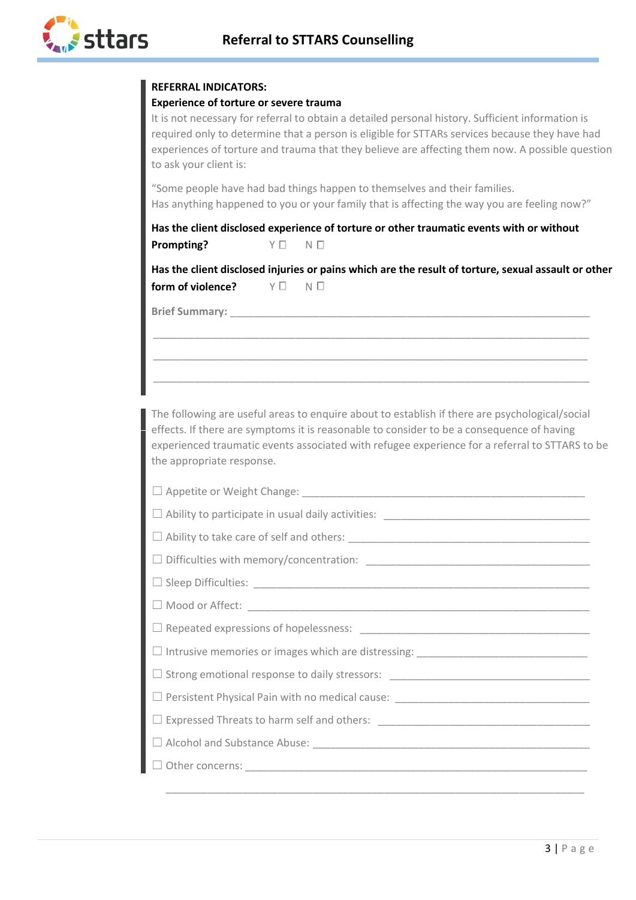

## **REFERRAL INDICATORS:**

#### **Experience of torture or severe trauma**

It is not necessary for referral to obtain a detailed personal history. Sufficient information is required only to determine that a person is eligible for STTARs services because they have had experiences of torture and trauma that they believe are affecting them now. A possible question to ask your client is:

"Some people have had bad things happen to themselves and their families. Has anything happened to you or your family that is affecting the way you are feeling now?"

**Has the client disclosed experience of torture or other traumatic events with or without Prompting?** Y ☐ N ☐

**Has the client disclosed injuries or pains which are the result of torture, sexual assault or other form of violence?** Y ☐ N ☐

\_\_\_\_\_\_\_\_\_\_\_\_\_\_\_\_\_\_\_\_\_\_\_\_\_\_\_\_\_\_\_\_\_\_\_\_\_\_\_\_\_\_\_\_\_\_\_\_\_\_\_\_\_\_\_\_\_\_\_\_\_\_\_\_\_\_\_\_\_\_\_\_\_\_

\_\_\_\_\_\_\_\_\_\_\_\_\_\_\_\_\_\_\_\_\_\_\_\_\_\_\_\_\_\_\_\_\_\_\_\_\_\_\_\_\_\_\_\_\_\_\_\_\_\_\_\_\_\_\_\_\_\_\_\_\_\_\_\_\_\_\_\_\_\_\_\_\_\_

\_\_\_\_\_\_\_\_\_\_\_\_\_\_\_\_\_\_\_\_\_\_\_\_\_\_\_\_\_\_\_\_\_\_\_\_\_\_\_\_\_\_\_\_\_\_\_\_\_\_\_\_\_\_\_\_\_\_\_\_\_\_\_\_\_\_\_\_\_\_\_\_\_\_

**Brief Summary:** 

The following are useful areas to enquire about to establish if there are psychological/social effects. If there are symptoms it is reasonable to consider to be a consequence of having experienced traumatic events associated with refugee experience for a referral to STTARS to be the appropriate response.

| $\Box$ Sleep Difficulties: $\Box$ |
|-----------------------------------|
|                                   |
|                                   |
|                                   |
|                                   |
|                                   |
|                                   |
|                                   |
|                                   |
|                                   |